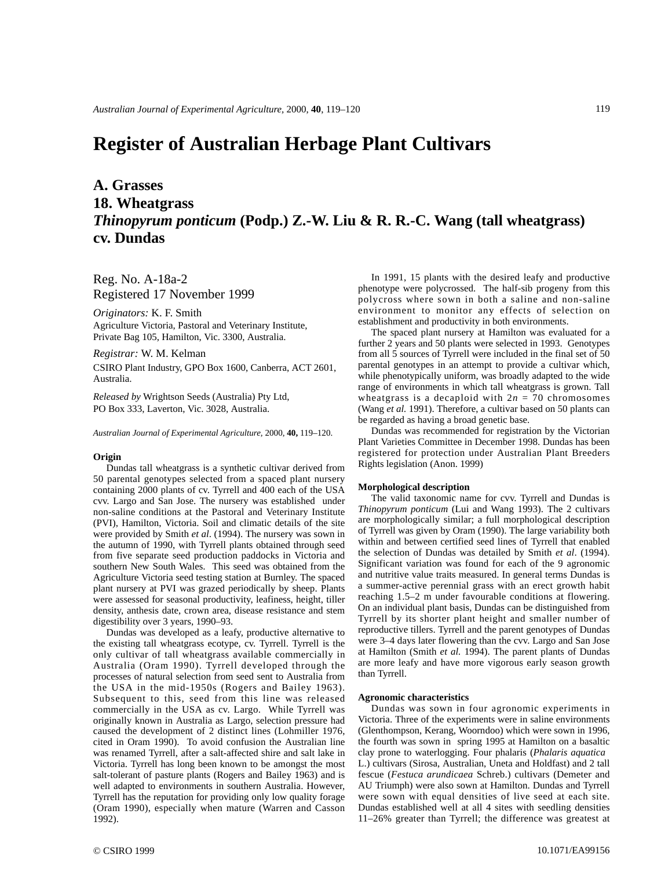# **Register of Australian Herbage Plant Cultivars**

# **A. Grasses 18. Wheatgrass** *Thinopyrum ponticum* **(Podp.) Z.-W. Liu & R. R.-C. Wang (tall wheatgrass) cv. Dundas**

Reg. No. A-18a-2 Registered 17 November 1999

*Originators:* K. F. Smith

Agriculture Victoria, Pastoral and Veterinary Institute, Private Bag 105, Hamilton, Vic. 3300, Australia.

*Registrar:* W. M. Kelman

CSIRO Plant Industry, GPO Box 1600, Canberra, ACT 2601, Australia.

*Released by* Wrightson Seeds (Australia) Pty Ltd, PO Box 333, Laverton, Vic. 3028, Australia.

*Australian Journal of Experimental Agriculture,* 2000, **40,** 119–120.

### **Origin**

Dundas tall wheatgrass is a synthetic cultivar derived from 50 parental genotypes selected from a spaced plant nursery containing 2000 plants of cv. Tyrrell and 400 each of the USA cvv. Largo and San Jose. The nursery was established under non-saline conditions at the Pastoral and Veterinary Institute (PVI), Hamilton, Victoria. Soil and climatic details of the site were provided by Smith *et al*. (1994). The nursery was sown in the autumn of 1990, with Tyrrell plants obtained through seed from five separate seed production paddocks in Victoria and southern New South Wales. This seed was obtained from the Agriculture Victoria seed testing station at Burnley. The spaced plant nursery at PVI was grazed periodically by sheep. Plants were assessed for seasonal productivity, leafiness, height, tiller density, anthesis date, crown area, disease resistance and stem digestibility over 3 years, 1990–93.

Dundas was developed as a leafy, productive alternative to the existing tall wheatgrass ecotype, cv. Tyrrell. Tyrrell is the only cultivar of tall wheatgrass available commercially in Australia (Oram 1990). Tyrrell developed through the processes of natural selection from seed sent to Australia from the USA in the mid-1950s (Rogers and Bailey 1963). Subsequent to this, seed from this line was released commercially in the USA as cv. Largo. While Tyrrell was originally known in Australia as Largo, selection pressure had caused the development of 2 distinct lines (Lohmiller 1976, cited in Oram 1990). To avoid confusion the Australian line was renamed Tyrrell, after a salt-affected shire and salt lake in Victoria. Tyrrell has long been known to be amongst the most salt-tolerant of pasture plants (Rogers and Bailey 1963) and is well adapted to environments in southern Australia. However, Tyrrell has the reputation for providing only low quality forage (Oram 1990), especially when mature (Warren and Casson 1992).

In 1991, 15 plants with the desired leafy and productive phenotype were polycrossed. The half-sib progeny from this polycross where sown in both a saline and non-saline environment to monitor any effects of selection on establishment and productivity in both environments.

The spaced plant nursery at Hamilton was evaluated for a further 2 years and 50 plants were selected in 1993. Genotypes from all 5 sources of Tyrrell were included in the final set of 50 parental genotypes in an attempt to provide a cultivar which, while phenotypically uniform, was broadly adapted to the wide range of environments in which tall wheatgrass is grown. Tall wheatgrass is a decaploid with  $2n = 70$  chromosomes (Wang *et al.* 1991). Therefore, a cultivar based on 50 plants can be regarded as having a broad genetic base.

Dundas was recommended for registration by the Victorian Plant Varieties Committee in December 1998. Dundas has been registered for protection under Australian Plant Breeders Rights legislation (Anon. 1999)

#### **Morphological description**

The valid taxonomic name for cvv. Tyrrell and Dundas is *Thinopyrum ponticum* (Lui and Wang 1993). The 2 cultivars are morphologically similar; a full morphological description of Tyrrell was given by Oram (1990). The large variability both within and between certified seed lines of Tyrrell that enabled the selection of Dundas was detailed by Smith *et al*. (1994). Significant variation was found for each of the 9 agronomic and nutritive value traits measured. In general terms Dundas is a summer-active perennial grass with an erect growth habit reaching 1.5–2 m under favourable conditions at flowering. On an individual plant basis, Dundas can be distinguished from Tyrrell by its shorter plant height and smaller number of reproductive tillers. Tyrrell and the parent genotypes of Dundas were 3–4 days later flowering than the cvv. Largo and San Jose at Hamilton (Smith *et al.* 1994). The parent plants of Dundas are more leafy and have more vigorous early season growth than Tyrrell.

## **Agronomic characteristics**

Dundas was sown in four agronomic experiments in Victoria. Three of the experiments were in saline environments (Glenthompson, Kerang, Woorndoo) which were sown in 1996, the fourth was sown in spring 1995 at Hamilton on a basaltic clay prone to waterlogging. Four phalaris (*Phalaris aquatica* L.) cultivars (Sirosa, Australian, Uneta and Holdfast) and 2 tall fescue (*Festuca arundicaea* Schreb.) cultivars (Demeter and AU Triumph) were also sown at Hamilton. Dundas and Tyrrell were sown with equal densities of live seed at each site. Dundas established well at all 4 sites with seedling densities 11–26% greater than Tyrrell; the difference was greatest at